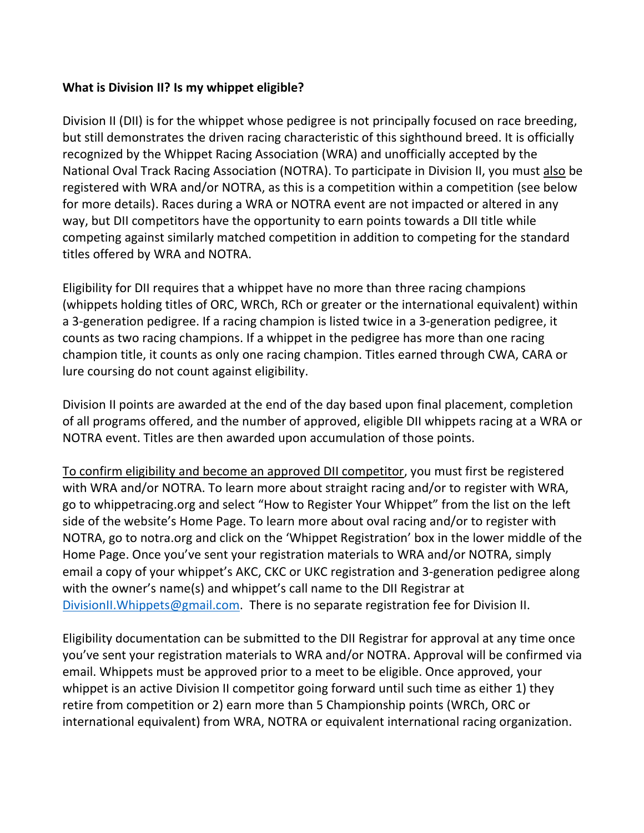## **What is Division II? Is my whippet eligible?**

Division II (DII) is for the whippet whose pedigree is not principally focused on race breeding, but still demonstrates the driven racing characteristic of this sighthound breed. It is officially recognized by the Whippet Racing Association (WRA) and unofficially accepted by the National Oval Track Racing Association (NOTRA). To participate in Division II, you must also be registered with WRA and/or NOTRA, as this is a competition within a competition (see below for more details). Races during a WRA or NOTRA event are not impacted or altered in any way, but DII competitors have the opportunity to earn points towards a DII title while competing against similarly matched competition in addition to competing for the standard titles offered by WRA and NOTRA.

Eligibility for DII requires that a whippet have no more than three racing champions (whippets holding titles of ORC, WRCh, RCh or greater or the international equivalent) within a 3-generation pedigree. If a racing champion is listed twice in a 3-generation pedigree, it counts as two racing champions. If a whippet in the pedigree has more than one racing champion title, it counts as only one racing champion. Titles earned through CWA, CARA or lure coursing do not count against eligibility.

Division II points are awarded at the end of the day based upon final placement, completion of all programs offered, and the number of approved, eligible DII whippets racing at a WRA or NOTRA event. Titles are then awarded upon accumulation of those points.

To confirm eligibility and become an approved DII competitor, you must first be registered with WRA and/or NOTRA. To learn more about straight racing and/or to register with WRA, go to whippetracing.org and select "How to Register Your Whippet" from the list on the left side of the website's Home Page. To learn more about oval racing and/or to register with NOTRA, go to notra.org and click on the 'Whippet Registration' box in the lower middle of the Home Page. Once you've sent your registration materials to WRA and/or NOTRA, simply email a copy of your whippet's AKC, CKC or UKC registration and 3-generation pedigree along with the owner's name(s) and whippet's call name to the DII Registrar at [DivisionII.Whippets@gmail.com.](mailto:DivisionII.Whippets@gmail.com) There is no separate registration fee for Division II.

Eligibility documentation can be submitted to the DII Registrar for approval at any time once you've sent your registration materials to WRA and/or NOTRA. Approval will be confirmed via email. Whippets must be approved prior to a meet to be eligible. Once approved, your whippet is an active Division II competitor going forward until such time as either 1) they retire from competition or 2) earn more than 5 Championship points (WRCh, ORC or international equivalent) from WRA, NOTRA or equivalent international racing organization.